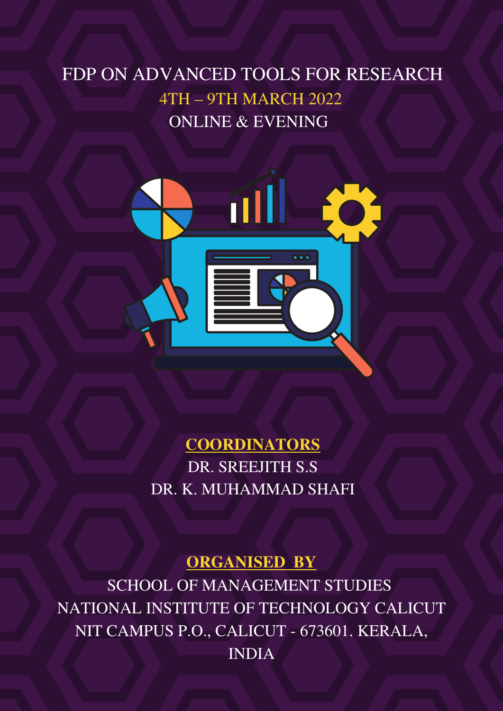# FDP ON ADVANCED TOOLS FOR RESEARCH 4TH – 9TH MARCH 2022 ONLINE & EVENING



**COORDINATORS** DR. SREEJITH S.S DR. K. MUHAMMAD SHAFI

#### **ORGANISED BY**

SCHOOL OF MANAGEMENT STUDIES NATIONAL INSTITUTE OF TECHNOLOGY CALICUT NIT CAMPUS P.O., CALICUT - 673601. KERALA, INDIA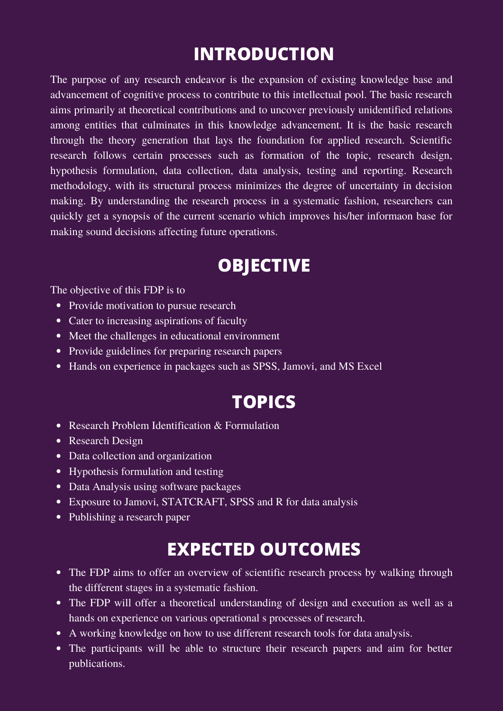# **INTRODUCTION**

The purpose of any research endeavor is the expansion of existing knowledge base and advancement of cognitive process to contribute to this intellectual pool. The basic research aims primarily at theoretical contributions and to uncover previously unidentified relations among entities that culminates in this knowledge advancement. It is the basic research through the theory generation that lays the foundation for applied research. Scientific research follows certain processes such as formation of the topic, research design, hypothesis formulation, data collection, data analysis, testing and reporting. Research methodology, with its structural process minimizes the degree of uncertainty in decision making. By understanding the research process in a systematic fashion, researchers can quickly get a synopsis of the current scenario which improves his/her informaon base for making sound decisions affecting future operations.

# **OBJECTIVE**

The objective of this FDP is to

- Provide motivation to pursue research
- Cater to increasing aspirations of faculty
- Meet the challenges in educational environment
- Provide guidelines for preparing research papers
- Hands on experience in packages such as SPSS, Jamovi, and MS Excel

# **TOPICS**

- Research Problem Identification & Formulation
- Research Design
- Data collection and organization
- Hypothesis formulation and testing
- Data Analysis using software packages
- Exposure to Jamovi, STATCRAFT, SPSS and R for data analysis
- Publishing a research paper

# **EXPECTED OUTCOMES**

- The FDP aims to offer an overview of scientific research process by walking through the different stages in a systematic fashion.
- The FDP will offer a theoretical understanding of design and execution as well as a hands on experience on various operational s processes of research.
- A working knowledge on how to use different research tools for data analysis.
- The participants will be able to structure their research papers and aim for better publications.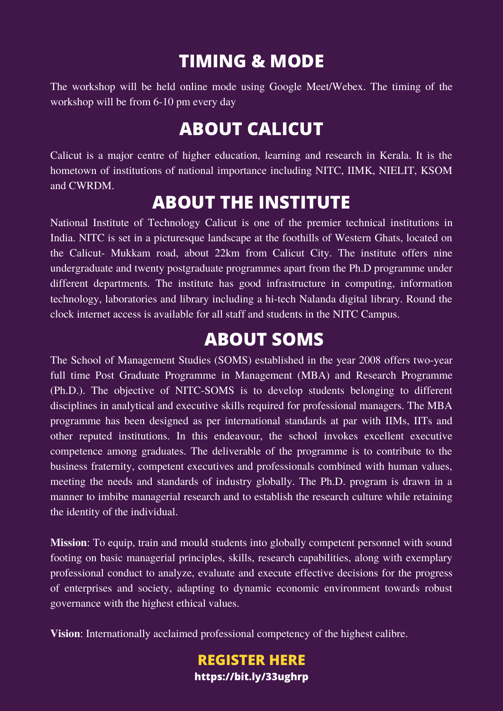## **TIMING & MODE**

The workshop will be held online mode using Google Meet/Webex. The timing of the workshop will be from 6-10 pm every day

### **ABOUT CALICUT**

Calicut is a major centre of higher education, learning and research in Kerala. It is the hometown of institutions of national importance including NITC, IIMK, NIELIT, KSOM and CWRDM.

### **ABOUT THE INSTITUTE**

National Institute of Technology Calicut is one of the premier technical institutions in India. NITC is set in a picturesque landscape at the foothills of Western Ghats, located on the Calicut- Mukkam road, about 22km from Calicut City. The institute offers nine undergraduate and twenty postgraduate programmes apart from the Ph.D programme under different departments. The institute has good infrastructure in computing, information technology, laboratories and library including a hi-tech Nalanda digital library. Round the clock internet access is available for all staff and students in the NITC Campus.

#### **ABOUT SOMS**

The School of Management Studies (SOMS) established in the year 2008 offers two-year full time Post Graduate Programme in Management (MBA) and Research Programme (Ph.D.). The objective of NITC-SOMS is to develop students belonging to different disciplines in analytical and executive skills required for professional managers. The MBA programme has been designed as per international standards at par with IIMs, IITs and other reputed institutions. In this endeavour, the school invokes excellent executive competence among graduates. The deliverable of the programme is to contribute to the business fraternity, competent executives and professionals combined with human values, meeting the needs and standards of industry globally. The Ph.D. program is drawn in a manner to imbibe managerial research and to establish the research culture while retaining the identity of the individual.

**Mission**: To equip, train and mould students into globally competent personnel with sound footing on basic managerial principles, skills, research capabilities, along with exemplary professional conduct to analyze, evaluate and execute effective decisions for the progress of enterprises and society, adapting to dynamic economic environment towards robust governance with the highest ethical values.

**Vision**: Internationally acclaimed professional competency of the highest calibre.